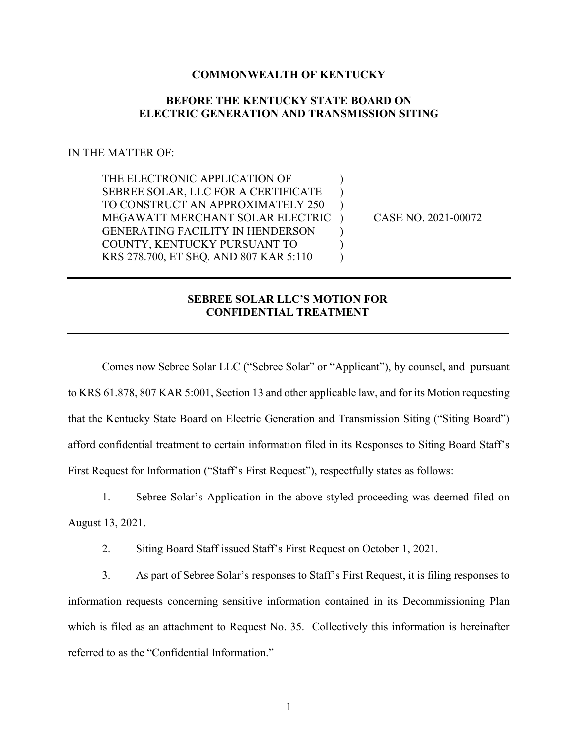## **COMMONWEALTH OF KENTUCKY**

## **BEFORE THE KENTUCKY STATE BOARD ON ELECTRIC GENERATION AND TRANSMISSION SITING**

## IN THE MATTER OF:

THE ELECTRONIC APPLICATION OF  $\qquad\qquad)$ SEBREE SOLAR, LLC FOR A CERTIFICATE TO CONSTRUCT AN APPROXIMATELY 250 ) MEGAWATT MERCHANT SOLAR ELECTRIC ) CASE NO. 2021-00072 GENERATING FACILITY IN HENDERSON (1) COUNTY, KENTUCKY PURSUANT TO  $($ KRS 278.700, ET SEO. AND 807 KAR 5:110 )

## **SEBREE SOLAR LLC'S MOTION FOR CONFIDENTIAL TREATMENT**

Comes now Sebree Solar LLC ("Sebree Solar" or "Applicant"), by counsel, and pursuant to KRS 61.878, 807 KAR 5:001, Section 13 and other applicable law, and for its Motion requesting that the Kentucky State Board on Electric Generation and Transmission Siting ("Siting Board") afford confidential treatment to certain information filed in its Responses to Siting Board Staff's First Request for Information ("Staff's First Request"), respectfully states as follows:

1. Sebree Solar's Application in the above-styled proceeding was deemed filed on August 13, 2021.

2. Siting Board Staff issued Staff's First Request on October 1, 2021.

3. As part of Sebree Solar's responses to Staff's First Request, it is filing responses to information requests concerning sensitive information contained in its Decommissioning Plan which is filed as an attachment to Request No. 35. Collectively this information is hereinafter referred to as the "Confidential Information."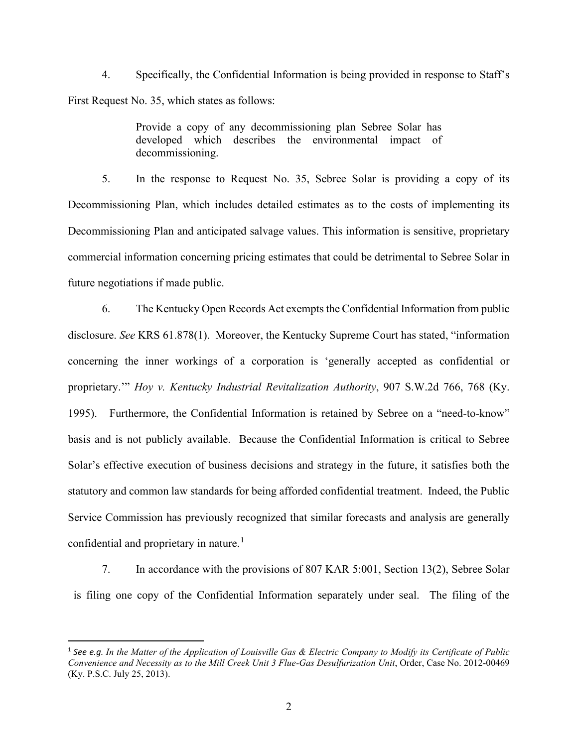4. Specifically, the Confidential Information is being provided in response to Staff's First Request No. 35, which states as follows:

> Provide a copy of any decommissioning plan Sebree Solar has developed which describes the environmental impact of decommissioning.

5. In the response to Request No. 35, Sebree Solar is providing a copy of its Decommissioning Plan, which includes detailed estimates as to the costs of implementing its Decommissioning Plan and anticipated salvage values. This information is sensitive, proprietary commercial information concerning pricing estimates that could be detrimental to Sebree Solar in future negotiations if made public.

6. The Kentucky Open Records Act exempts the Confidential Information from public disclosure. *See* KRS 61.878(1). Moreover, the Kentucky Supreme Court has stated, "information concerning the inner workings of a corporation is 'generally accepted as confidential or proprietary.'" *Hoy v. Kentucky Industrial Revitalization Authority*, 907 S.W.2d 766, 768 (Ky. 1995). Furthermore, the Confidential Information is retained by Sebree on a "need-to-know" basis and is not publicly available. Because the Confidential Information is critical to Sebree Solar's effective execution of business decisions and strategy in the future, it satisfies both the statutory and common law standards for being afforded confidential treatment. Indeed, the Public Service Commission has previously recognized that similar forecasts and analysis are generally confidential and proprietary in nature.<sup>[1](#page-1-0)</sup>

7. In accordance with the provisions of 807 KAR 5:001, Section 13(2), Sebree Solar is filing one copy of the Confidential Information separately under seal. The filing of the

<span id="page-1-0"></span><sup>1</sup> *See e.g. In the Matter of the Application of Louisville Gas & Electric Company to Modify its Certificate of Public Convenience and Necessity as to the Mill Creek Unit 3 Flue-Gas Desulfurization Unit*, Order, Case No. 2012-00469 (Ky. P.S.C. July 25, 2013).